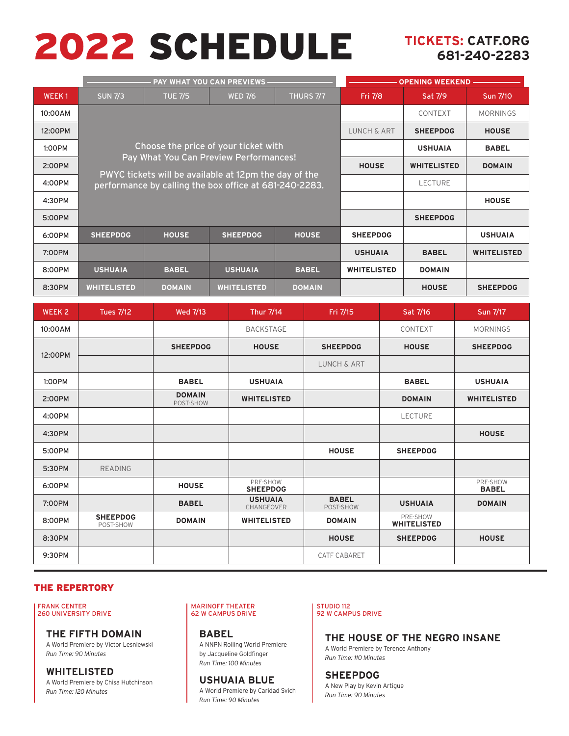# 2022 SCHEDULE **TICKETS: CATF.ORG**

# **681-240-2283**

|              |                    |                | <b>PAY WHAT YOU CAN PREVIEWS</b>                                                                                | <b>OPENING WEEKEND -</b> |                    |                 |                    |
|--------------|--------------------|----------------|-----------------------------------------------------------------------------------------------------------------|--------------------------|--------------------|-----------------|--------------------|
| <b>WEEK1</b> | <b>SUN 7/3</b>     | <b>TUE 7/5</b> | <b>WED 7/6</b>                                                                                                  | THURS 7/7                | Fri 7/8            | Sat 7/9         | Sun 7/10           |
| 10:00AM      |                    |                |                                                                                                                 |                          | CONTEXT            | <b>MORNINGS</b> |                    |
| 12:00PM      |                    |                |                                                                                                                 | <b>LUNCH &amp; ART</b>   | <b>SHEEPDOG</b>    | <b>HOUSE</b>    |                    |
| 1:00PM       |                    |                | Choose the price of your ticket with                                                                            |                          | <b>USHUAIA</b>     | <b>BABEL</b>    |                    |
| 2:00PM       |                    |                | Pay What You Can Preview Performances!                                                                          | <b>HOUSE</b>             | <b>WHITELISTED</b> | <b>DOMAIN</b>   |                    |
| 4:00PM       |                    |                | PWYC tickets will be available at 12pm the day of the<br>performance by calling the box office at 681-240-2283. |                          | <b>LECTURE</b>     |                 |                    |
| 4:30PM       |                    |                |                                                                                                                 |                          |                    | <b>HOUSE</b>    |                    |
| 5:00PM       |                    |                |                                                                                                                 |                          | <b>SHEEPDOG</b>    |                 |                    |
| 6:00PM       | <b>SHEEPDOG</b>    | <b>HOUSE</b>   | <b>SHEEPDOG</b>                                                                                                 | <b>HOUSE</b>             | <b>SHEEPDOG</b>    |                 | <b>USHUAIA</b>     |
| 7:00PM       |                    |                |                                                                                                                 |                          | <b>USHUAIA</b>     | <b>BABEL</b>    | <b>WHITELISTED</b> |
| 8:00PM       | <b>USHUAIA</b>     | <b>BABEL</b>   | <b>USHUAIA</b>                                                                                                  | <b>BABEL</b>             | <b>WHITELISTED</b> | <b>DOMAIN</b>   |                    |
| 8:30PM       | <b>WHITELISTED</b> | <b>DOMAIN</b>  | <b>WHITELISTED</b>                                                                                              | <b>DOMAIN</b>            |                    | <b>HOUSE</b>    | <b>SHEEPDOG</b>    |

| <b>WEEK 2</b> | <b>Tues 7/12</b>             | <b>Wed 7/13</b>            | Thur 7/14                    | Fri 7/15                  | Sat 7/16                       | Sun 7/17                 |
|---------------|------------------------------|----------------------------|------------------------------|---------------------------|--------------------------------|--------------------------|
| 10:00AM       |                              |                            | <b>BACKSTAGE</b>             |                           | CONTEXT                        | <b>MORNINGS</b>          |
| 12:00PM       |                              | <b>SHEEPDOG</b>            | <b>HOUSE</b>                 | <b>SHEEPDOG</b>           | <b>HOUSE</b>                   | <b>SHEEPDOG</b>          |
|               |                              |                            |                              | LUNCH & ART               |                                |                          |
| 1:00PM        |                              | <b>BABEL</b>               | <b>USHUAIA</b>               |                           | <b>BABEL</b>                   | <b>USHUAIA</b>           |
| 2:00PM        |                              | <b>DOMAIN</b><br>POST-SHOW | <b>WHITELISTED</b>           |                           | <b>DOMAIN</b>                  | <b>WHITELISTED</b>       |
| 4:00PM        |                              |                            |                              |                           | <b>LECTURE</b>                 |                          |
| 4:30PM        |                              |                            |                              |                           |                                | <b>HOUSE</b>             |
| 5:00PM        |                              |                            |                              | <b>HOUSE</b>              | <b>SHEEPDOG</b>                |                          |
| 5:30PM        | <b>READING</b>               |                            |                              |                           |                                |                          |
| 6:00PM        |                              | <b>HOUSE</b>               | PRE-SHOW<br><b>SHEEPDOG</b>  |                           |                                | PRE-SHOW<br><b>BABEL</b> |
| 7:00PM        |                              | <b>BABEL</b>               | <b>USHUAIA</b><br>CHANGEOVER | <b>BABEL</b><br>POST-SHOW | <b>USHUAIA</b>                 | <b>DOMAIN</b>            |
| 8:00PM        | <b>SHEEPDOG</b><br>POST-SHOW | <b>DOMAIN</b>              | <b>WHITELISTED</b>           | <b>DOMAIN</b>             | PRE-SHOW<br><b>WHITELISTED</b> |                          |
| 8:30PM        |                              |                            |                              | <b>HOUSE</b>              | <b>SHEEPDOG</b>                | <b>HOUSE</b>             |
| 9:30PM        |                              |                            |                              | <b>CATF CABARET</b>       |                                |                          |

# THE REPERTORY

FRANK CENTER 260 UNIVERSITY DRIVE

**THE FIFTH DOMAIN** A World Premiere by Victor Lesniewski *Run Time: 90 Minutes*

**WHITELISTED** A World Premiere by Chisa Hutchinson *Run Time: 120 Minutes*

MARINOFF THEATER 62 W CAMPUS DRIVE

> **BABEL** A NNPN Rolling World Premiere by Jacqueline Goldfinger *Run Time: 100 Minutes*

**USHUAIA BLUE** A World Premiere by Caridad Svich *Run Time: 90 Minutes*

## STUDIO 112 92 W CAMPUS DRIVE

**THE HOUSE OF THE NEGRO INSANE** A World Premiere by Terence Anthony

*Run Time: 110 Minutes* **SHEEPDOG**

A New Play by Kevin Artigue *Run Time: 90 Minutes*